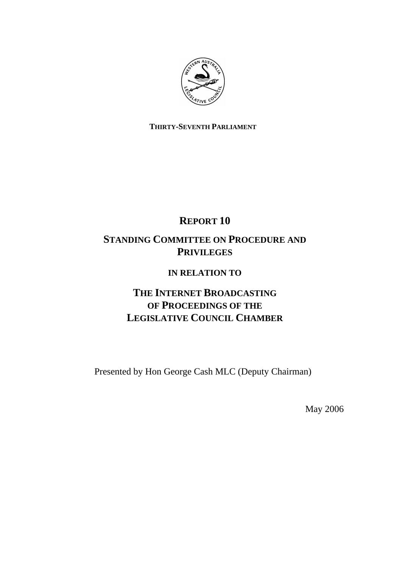

### **THIRTY-SEVENTH PARLIAMENT**

# **REPORT 10**

### **STANDING COMMITTEE ON PROCEDURE AND PRIVILEGES**

### **IN RELATION TO**

## **THE INTERNET BROADCASTING OF PROCEEDINGS OF THE LEGISLATIVE COUNCIL CHAMBER**

Presented by Hon George Cash MLC (Deputy Chairman)

May 2006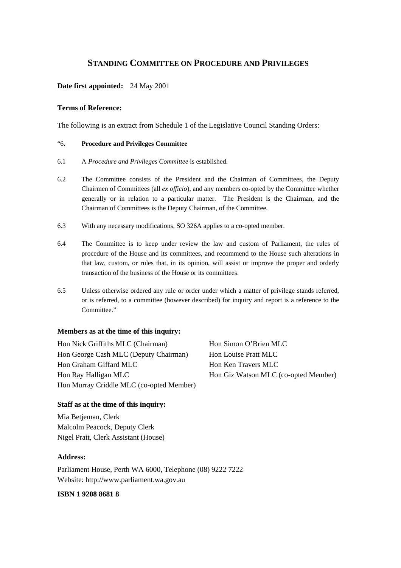### **STANDING COMMITTEE ON PROCEDURE AND PRIVILEGES**

#### **Date first appointed:** 24 May 2001

#### **Terms of Reference:**

The following is an extract from Schedule 1 of the Legislative Council Standing Orders:

#### "6**. Procedure and Privileges Committee**

- 6.1 A *Procedure and Privileges Committee* is established.
- 6.2 The Committee consists of the President and the Chairman of Committees, the Deputy Chairmen of Committees (all *ex officio*), and any members co-opted by the Committee whether generally or in relation to a particular matter. The President is the Chairman, and the Chairman of Committees is the Deputy Chairman, of the Committee.
- 6.3 With any necessary modifications, SO 326A applies to a co-opted member.
- 6.4 The Committee is to keep under review the law and custom of Parliament, the rules of procedure of the House and its committees, and recommend to the House such alterations in that law, custom, or rules that, in its opinion, will assist or improve the proper and orderly transaction of the business of the House or its committees.
- 6.5 Unless otherwise ordered any rule or order under which a matter of privilege stands referred, or is referred, to a committee (however described) for inquiry and report is a reference to the Committee."

#### **Members as at the time of this inquiry:**

Hon Nick Griffiths MLC (Chairman) Hon Simon O'Brien MLC Hon George Cash MLC (Deputy Chairman) Hon Louise Pratt MLC Hon Graham Giffard MLC Hon Ken Travers MLC Hon Ray Halligan MLC Hon Giz Watson MLC (co-opted Member) Hon Murray Criddle MLC (co-opted Member)

**Staff as at the time of this inquiry:** 

Mia Betjeman, Clerk Malcolm Peacock, Deputy Clerk Nigel Pratt, Clerk Assistant (House)

#### **Address:**

Parliament House, Perth WA 6000, Telephone (08) 9222 7222 Website: http://www.parliament.wa.gov.au

#### **ISBN 1 9208 8681 8**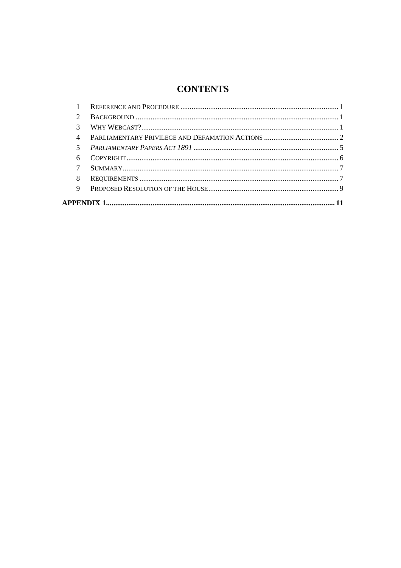## **CONTENTS**

| 4      |  |  |
|--------|--|--|
| $\sim$ |  |  |
| 6      |  |  |
| 7      |  |  |
| 8      |  |  |
| 9      |  |  |
|        |  |  |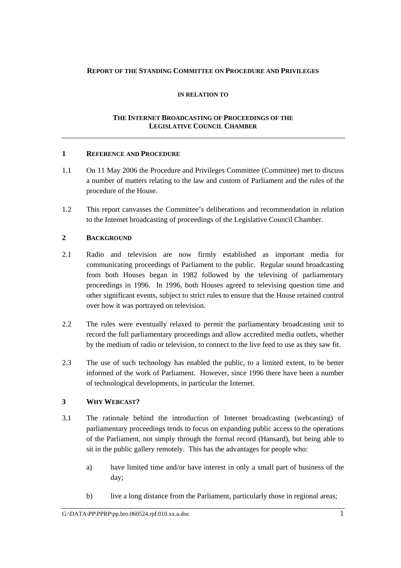#### **REPORT OF THE STANDING COMMITTEE ON PROCEDURE AND PRIVILEGES**

#### **IN RELATION TO**

#### **THE INTERNET BROADCASTING OF PROCEEDINGS OF THE LEGISLATIVE COUNCIL CHAMBER**

#### **1 REFERENCE AND PROCEDURE**

- 1.1 On 11 May 2006 the Procedure and Privileges Committee (Committee) met to discuss a number of matters relating to the law and custom of Parliament and the rules of the procedure of the House.
- 1.2 This report canvasses the Committee's deliberations and recommendation in relation to the Internet broadcasting of proceedings of the Legislative Council Chamber.

#### **2 BACKGROUND**

- 2.1 Radio and television are now firmly established as important media for communicating proceedings of Parliament to the public. Regular sound broadcasting from both Houses began in 1982 followed by the televising of parliamentary proceedings in 1996. In 1996, both Houses agreed to televising question time and other significant events, subject to strict rules to ensure that the House retained control over how it was portrayed on television.
- 2.2 The rules were eventually relaxed to permit the parliamentary broadcasting unit to record the full parliamentary proceedings and allow accredited media outlets, whether by the medium of radio or television, to connect to the live feed to use as they saw fit.
- 2.3 The use of such technology has enabled the public, to a limited extent, to be better informed of the work of Parliament. However, since 1996 there have been a number of technological developments, in particular the Internet.

#### **3 WHY WEBCAST?**

- 3.1 The rationale behind the introduction of Internet broadcasting (webcasting) of parliamentary proceedings tends to focus on expanding public access to the operations of the Parliament, not simply through the formal record (Hansard), but being able to sit in the public gallery remotely. This has the advantages for people who:
	- a) have limited time and/or have interest in only a small part of business of the day;
	- b) live a long distance from the Parliament, particularly those in regional areas;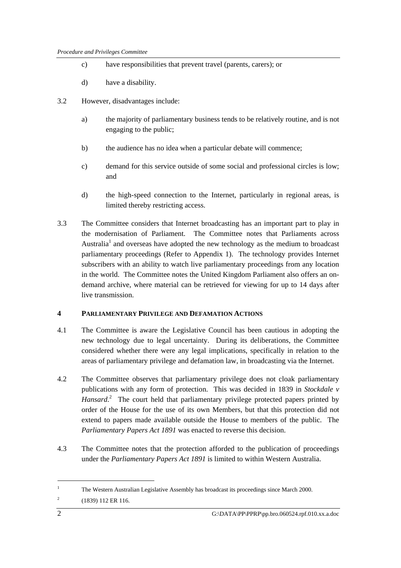- c) have responsibilities that prevent travel (parents, carers); or
- d) have a disability.
- 3.2 However, disadvantages include:
	- a) the majority of parliamentary business tends to be relatively routine, and is not engaging to the public;
	- b) the audience has no idea when a particular debate will commence;
	- c) demand for this service outside of some social and professional circles is low; and
	- d) the high-speed connection to the Internet, particularly in regional areas, is limited thereby restricting access.
- 3.3 The Committee considers that Internet broadcasting has an important part to play in the modernisation of Parliament. The Committee notes that Parliaments across Australia<sup>1</sup> and overseas have adopted the new technology as the medium to broadcast parliamentary proceedings (Refer to Appendix 1). The technology provides Internet subscribers with an ability to watch live parliamentary proceedings from any location in the world. The Committee notes the United Kingdom Parliament also offers an ondemand archive, where material can be retrieved for viewing for up to 14 days after live transmission.

#### **4 PARLIAMENTARY PRIVILEGE AND DEFAMATION ACTIONS**

- 4.1 The Committee is aware the Legislative Council has been cautious in adopting the new technology due to legal uncertainty. During its deliberations, the Committee considered whether there were any legal implications, specifically in relation to the areas of parliamentary privilege and defamation law, in broadcasting via the Internet.
- 4.2 The Committee observes that parliamentary privilege does not cloak parliamentary publications with any form of protection. This was decided in 1839 in *Stockdale v*  Hansard.<sup>2</sup> The court held that parliamentary privilege protected papers printed by order of the House for the use of its own Members, but that this protection did not extend to papers made available outside the House to members of the public. The *Parliamentary Papers Act 1891* was enacted to reverse this decision.
- 4.3 The Committee notes that the protection afforded to the publication of proceedings under the *Parliamentary Papers Act 1891* is limited to within Western Australia.

<sup>1</sup> The Western Australian Legislative Assembly has broadcast its proceedings since March 2000.

<sup>2</sup> (1839) 112 ER 116.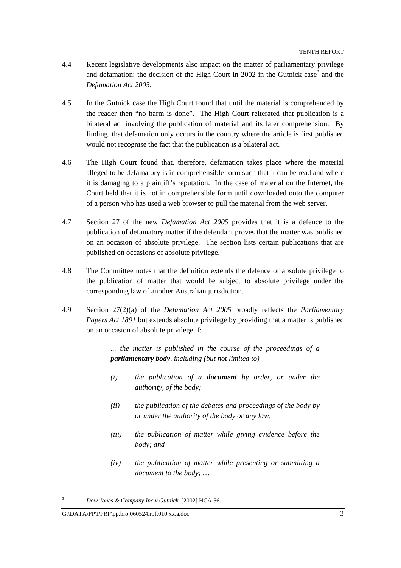- 4.4 Recent legislative developments also impact on the matter of parliamentary privilege and defamation: the decision of the High Court in 2002 in the Gutnick case<sup>3</sup> and the *Defamation Act 2005.*
- 4.5 In the Gutnick case the High Court found that until the material is comprehended by the reader then "no harm is done". The High Court reiterated that publication is a bilateral act involving the publication of material and its later comprehension. By finding, that defamation only occurs in the country where the article is first published would not recognise the fact that the publication is a bilateral act.
- 4.6 The High Court found that, therefore, defamation takes place where the material alleged to be defamatory is in comprehensible form such that it can be read and where it is damaging to a plaintiff's reputation. In the case of material on the Internet, the Court held that it is not in comprehensible form until downloaded onto the computer of a person who has used a web browser to pull the material from the web server.
- 4.7 Section 27 of the new *Defamation Act 2005* provides that it is a defence to the publication of defamatory matter if the defendant proves that the matter was published on an occasion of absolute privilege. The section lists certain publications that are published on occasions of absolute privilege.
- 4.8 The Committee notes that the definition extends the defence of absolute privilege to the publication of matter that would be subject to absolute privilege under the corresponding law of another Australian jurisdiction.
- 4.9 Section 27(2)(a) of the *Defamation Act 2005* broadly reflects the *Parliamentary Papers Act 1891* but extends absolute privilege by providing that a matter is published on an occasion of absolute privilege if:

*... the matter is published in the course of the proceedings of a parliamentary body, including (but not limited to) —* 

- *(i) the publication of a document by order, or under the authority, of the body;*
- *(ii) the publication of the debates and proceedings of the body by or under the authority of the body or any law;*
- *(iii) the publication of matter while giving evidence before the body; and*
- *(iv) the publication of matter while presenting or submitting a document to the body; …*

 $\overline{a}$ 

<sup>3</sup> *Dow Jones & Company Inc v Gutnick.* [2002] HCA 56.

 $G:\Delta\Pr{\text{PPRP}}$  or  $.060524$  rpf.010.xx.a.doc 3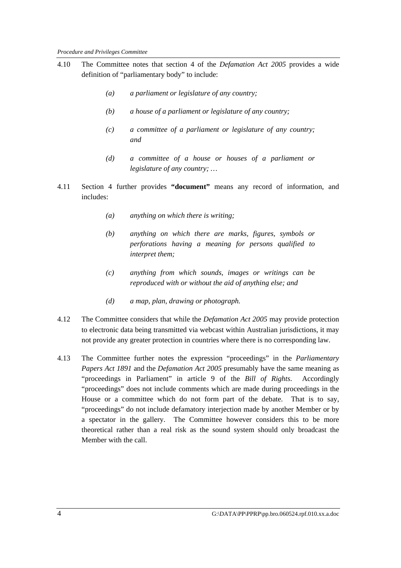- 4.10 The Committee notes that section 4 of the *Defamation Act 2005* provides a wide definition of "parliamentary body" to include:
	- *(a) a parliament or legislature of any country;*
	- *(b) a house of a parliament or legislature of any country;*
	- *(c) a committee of a parliament or legislature of any country; and*
	- *(d) a committee of a house or houses of a parliament or legislature of any country; …*
- 4.11 Section 4 further provides **"document"** means any record of information, and includes:
	- *(a) anything on which there is writing;*
	- *(b) anything on which there are marks, figures, symbols or perforations having a meaning for persons qualified to interpret them;*
	- *(c) anything from which sounds, images or writings can be reproduced with or without the aid of anything else; and*
	- *(d) a map, plan, drawing or photograph.*
- 4.12 The Committee considers that while the *Defamation Act 2005* may provide protection to electronic data being transmitted via webcast within Australian jurisdictions, it may not provide any greater protection in countries where there is no corresponding law.
- 4.13 The Committee further notes the expression "proceedings" in the *Parliamentary Papers Act 1891* and the *Defamation Act 2005* presumably have the same meaning as "proceedings in Parliament" in article 9 of the *Bill of Rights*. Accordingly "proceedings" does not include comments which are made during proceedings in the House or a committee which do not form part of the debate. That is to say, "proceedings" do not include defamatory interjection made by another Member or by a spectator in the gallery. The Committee however considers this to be more theoretical rather than a real risk as the sound system should only broadcast the Member with the call.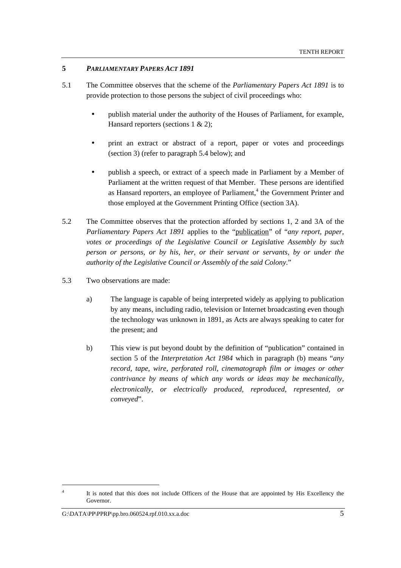#### **5** *PARLIAMENTARY PAPERS ACT 1891*

- 5.1 The Committee observes that the scheme of the *Parliamentary Papers Act 1891* is to provide protection to those persons the subject of civil proceedings who:
	- publish material under the authority of the Houses of Parliament, for example, Hansard reporters (sections 1 & 2);
	- print an extract or abstract of a report, paper or votes and proceedings (section 3) (refer to paragraph 5.4 below); and
	- publish a speech, or extract of a speech made in Parliament by a Member of Parliament at the written request of that Member. These persons are identified as Hansard reporters, an employee of Parliament,<sup>4</sup> the Government Printer and those employed at the Government Printing Office (section 3A).
- 5.2 The Committee observes that the protection afforded by sections 1, 2 and 3A of the *Parliamentary Papers Act 1891* applies to the "publication" of "*any report, paper, votes or proceedings of the Legislative Council or Legislative Assembly by such person or persons, or by his, her, or their servant or servants, by or under the authority of the Legislative Council or Assembly of the said Colony*."
- 5.3 Two observations are made:
	- a) The language is capable of being interpreted widely as applying to publication by any means, including radio, television or Internet broadcasting even though the technology was unknown in 1891, as Acts are always speaking to cater for the present; and
	- b) This view is put beyond doubt by the definition of "publication" contained in section 5 of the *Interpretation Act 1984* which in paragraph (b) means "*any record, tape, wire, perforated roll, cinematograph film or images or other contrivance by means of which any words or ideas may be mechanically, electronically, or electrically produced, reproduced, represented, or conveyed*".

G:\DATA\PP\PPRP\pp.bro.060524.rpf.010.xx.a.doc 5

<sup>4</sup> It is noted that this does not include Officers of the House that are appointed by His Excellency the Governor.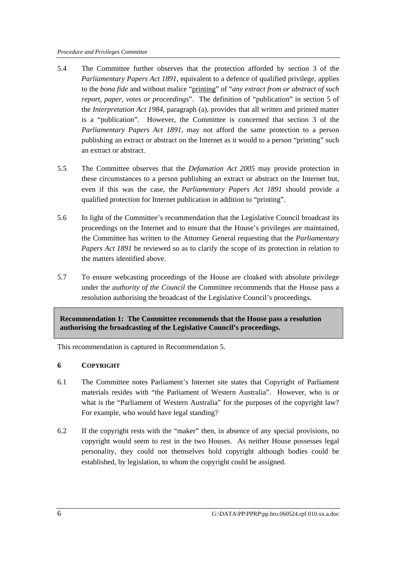- 5.4 The Committee further observes that the protection afforded by section 3 of the *Parliamentary Papers Act 1891*, equivalent to a defence of qualified privilege, applies to the *bona fide* and without malice "printing" of "*any extract from or abstract of such report, paper, votes or proceedings*". The definition of "publication" in section 5 of the *Interpretation Act 1984*, paragraph (a), provides that all written and printed matter is a "publication". However, the Committee is concerned that section 3 of the *Parliamentary Papers Act 1891*, may not afford the same protection to a person publishing an extract or abstract on the Internet as it would to a person "printing" such an extract or abstract.
- 5.5 The Committee observes that the *Defamation Act 2005* may provide protection in these circumstances to a person publishing an extract or abstract on the Internet but, even if this was the case, the *Parliamentary Papers Act 1891* should provide a qualified protection for Internet publication in addition to "printing".
- 5.6 In light of the Committee's recommendation that the Legislative Council broadcast its proceedings on the Internet and to ensure that the House's privileges are maintained, the Committee has written to the Attorney General requesting that the *Parliamentary Papers Act 1891* be reviewed so as to clarify the scope of its protection in relation to the matters identified above.
- 5.7 To ensure webcasting proceedings of the House are cloaked with absolute privilege under the *authority of the Council* the Committee recommends that the House pass a resolution authorising the broadcast of the Legislative Council's proceedings.

**Recommendation 1: The Committee recommends that the House pass a resolution authorising the broadcasting of the Legislative Council's proceedings.** 

This recommendation is captured in Recommendation 5.

#### **6 COPYRIGHT**

- 6.1 The Committee notes Parliament's Internet site states that Copyright of Parliament materials resides with "the Parliament of Western Australia". However, who is or what is the "Parliament of Western Australia" for the purposes of the copyright law? For example, who would have legal standing?
- 6.2 If the copyright rests with the "maker" then, in absence of any special provisions, no copyright would seem to rest in the two Houses. As neither House possesses legal personality, they could not themselves hold copyright although bodies could be established, by legislation, to whom the copyright could be assigned.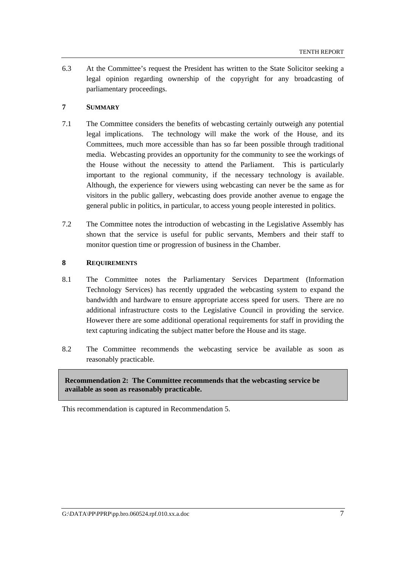6.3 At the Committee's request the President has written to the State Solicitor seeking a legal opinion regarding ownership of the copyright for any broadcasting of parliamentary proceedings.

#### **7 SUMMARY**

- 7.1 The Committee considers the benefits of webcasting certainly outweigh any potential legal implications. The technology will make the work of the House, and its Committees, much more accessible than has so far been possible through traditional media. Webcasting provides an opportunity for the community to see the workings of the House without the necessity to attend the Parliament. This is particularly important to the regional community, if the necessary technology is available. Although, the experience for viewers using webcasting can never be the same as for visitors in the public gallery, webcasting does provide another avenue to engage the general public in politics, in particular, to access young people interested in politics.
- 7.2 The Committee notes the introduction of webcasting in the Legislative Assembly has shown that the service is useful for public servants, Members and their staff to monitor question time or progression of business in the Chamber.

#### **8 REQUIREMENTS**

- 8.1 The Committee notes the Parliamentary Services Department (Information Technology Services) has recently upgraded the webcasting system to expand the bandwidth and hardware to ensure appropriate access speed for users. There are no additional infrastructure costs to the Legislative Council in providing the service. However there are some additional operational requirements for staff in providing the text capturing indicating the subject matter before the House and its stage.
- 8.2 The Committee recommends the webcasting service be available as soon as reasonably practicable.

**Recommendation 2: The Committee recommends that the webcasting service be available as soon as reasonably practicable.** 

This recommendation is captured in Recommendation 5.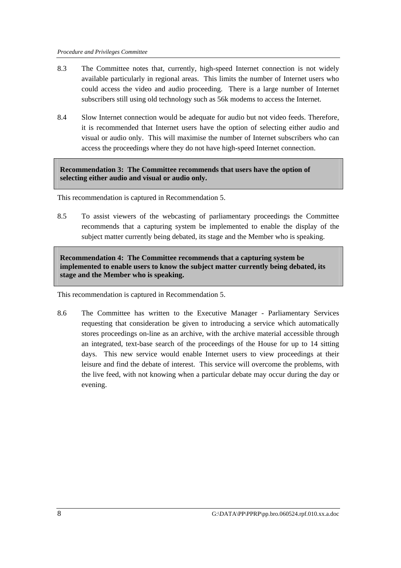- 8.3 The Committee notes that, currently, high-speed Internet connection is not widely available particularly in regional areas. This limits the number of Internet users who could access the video and audio proceeding. There is a large number of Internet subscribers still using old technology such as 56k modems to access the Internet.
- 8.4 Slow Internet connection would be adequate for audio but not video feeds. Therefore, it is recommended that Internet users have the option of selecting either audio and visual or audio only. This will maximise the number of Internet subscribers who can access the proceedings where they do not have high-speed Internet connection.

**Recommendation 3: The Committee recommends that users have the option of selecting either audio and visual or audio only.** 

This recommendation is captured in Recommendation 5.

8.5 To assist viewers of the webcasting of parliamentary proceedings the Committee recommends that a capturing system be implemented to enable the display of the subject matter currently being debated, its stage and the Member who is speaking.

**Recommendation 4: The Committee recommends that a capturing system be implemented to enable users to know the subject matter currently being debated, its stage and the Member who is speaking.** 

This recommendation is captured in Recommendation 5.

8.6 The Committee has written to the Executive Manager - Parliamentary Services requesting that consideration be given to introducing a service which automatically stores proceedings on-line as an archive, with the archive material accessible through an integrated, text-base search of the proceedings of the House for up to 14 sitting days. This new service would enable Internet users to view proceedings at their leisure and find the debate of interest. This service will overcome the problems, with the live feed, with not knowing when a particular debate may occur during the day or evening.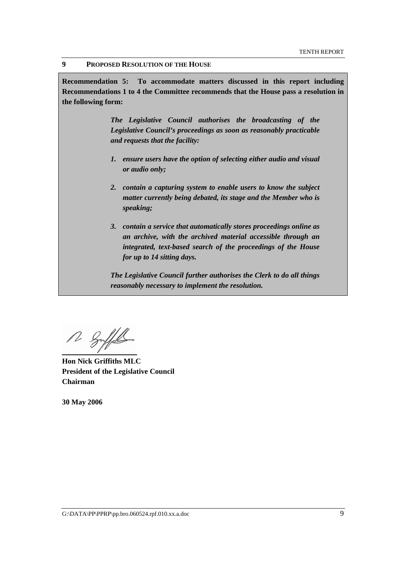#### **9 PROPOSED RESOLUTION OF THE HOUSE**

**Recommendation 5: To accommodate matters discussed in this report including Recommendations 1 to 4 the Committee recommends that the House pass a resolution in the following form:** 

> *The Legislative Council authorises the broadcasting of the Legislative Council's proceedings as soon as reasonably practicable and requests that the facility:*

- *1. ensure users have the option of selecting either audio and visual or audio only;*
- *2. contain a capturing system to enable users to know the subject matter currently being debated, its stage and the Member who is speaking;*
- *3. contain a service that automatically stores proceedings online as an archive, with the archived material accessible through an integrated, text-based search of the proceedings of the House for up to 14 sitting days.*

*The Legislative Council further authorises the Clerk to do all things reasonably necessary to implement the resolution.*

R Buffel

**Hon Nick Griffiths MLC President of the Legislative Council Chairman** 

**30 May 2006**